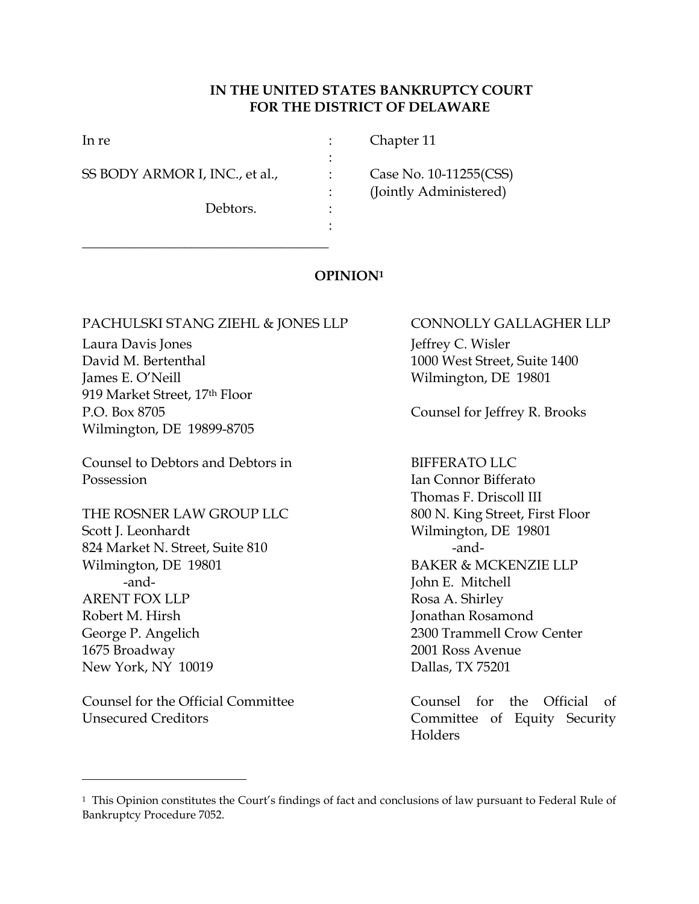## **IN THE UNITED STATES BANKRUPTCY COURT FOR THE DISTRICT OF DELAWARE**

| In re                          |   | Chapter 11             |
|--------------------------------|---|------------------------|
| SS BODY ARMOR I, INC., et al., |   | Case No. 10-11255(CSS) |
|                                |   | (Jointly Administered) |
| Debtors.                       | ٠ |                        |
|                                |   |                        |

## **OPINION<sup>1</sup>**

## PACHULSKI STANG ZIEHL & JONES LLP CONNOLLY GALLAGHER LLP

\_\_\_\_\_\_\_\_\_\_\_\_\_\_\_\_\_\_\_\_\_\_\_\_\_\_\_\_\_\_\_\_\_\_\_\_

Laura Davis Jones **Internal Community** Laura Davis Jeffrey C. Wisler David M. Bertenthal 1000 West Street, Suite 1400 James E. O'Neill Wilmington, DE 19801 919 Market Street, 17th Floor Wilmington, DE 19899-8705

Counsel to Debtors and Debtors in BIFFERATO LLC Possession **Ian Connor Bifferato** 

THE ROSNER LAW GROUP LLC 800 N. King Street, First Floor Scott J. Leonhardt Wilmington, DE 19801 824 Market N. Street, Suite 810 -and-Wilmington, DE 19801 BAKER & MCKENZIE LLP -and-<br>
Iohn E. Mitchell ARENT FOX LLP Rosa A. Shirley Robert M. Hirsh Jonathan Rosamond George P. Angelich 2300 Trammell Crow Center 1675 Broadway 2001 Ross Avenue New York, NY 10019 Dallas, TX 75201

Counsel for the Official Committee The Counsel for the Official of Unsecured Creditors Committee of Equity Security

 $\overline{a}$ 

P.O. Box 8705 Counsel for Jeffrey R. Brooks

Thomas F. Driscoll III

Holders

<sup>1</sup> This Opinion constitutes the Court's findings of fact and conclusions of law pursuant to Federal Rule of Bankruptcy Procedure 7052.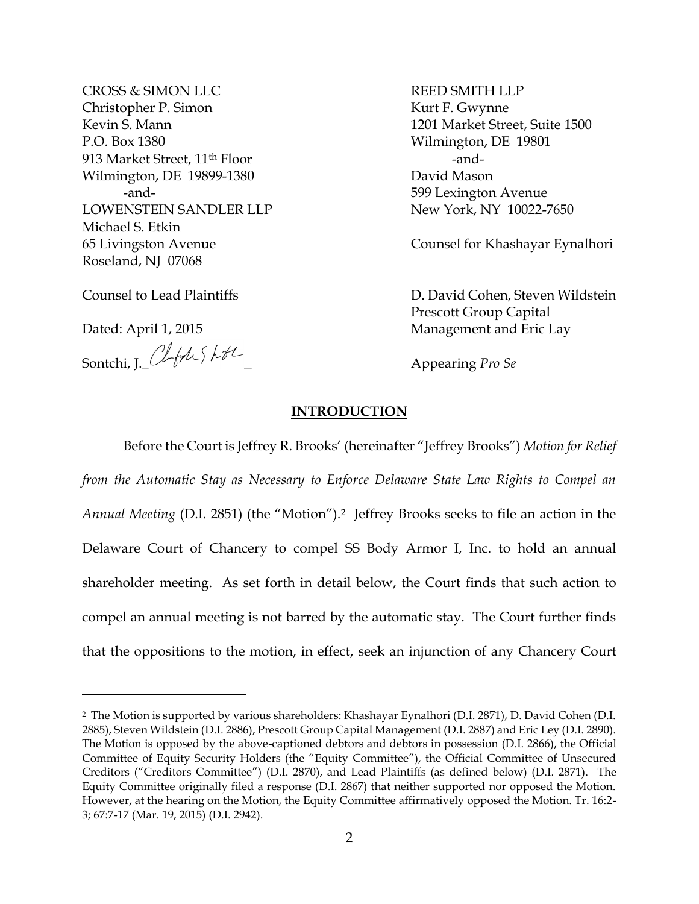CROSS & SIMON LLC REED SMITH LLP Christopher P. Simon Kurt F. Gwynne Kevin S. Mann 1201 Market Street, Suite 1500 P.O. Box 1380 Wilmington, DE 19801 913 Market Street, 11<sup>th</sup> Floor -and-Wilmington, DE 19899-1380 David Mason -and- 599 Lexington Avenue LOWENSTEIN SANDLER LLP New York, NY 10022-7650 Michael S. Etkin Roseland, NJ 07068

 $\overline{a}$ 

Sontchi, J. *Cleble Skill* 

65 Livingston Avenue Counsel for Khashayar Eynalhori

Counsel to Lead Plaintiffs D. David Cohen, Steven Wildstein Prescott Group Capital Dated: April 1, 2015 Management and Eric Lay

## **INTRODUCTION**

Before the Court is Jeffrey R. Brooks' (hereinafter "Jeffrey Brooks") *Motion for Relief from the Automatic Stay as Necessary to Enforce Delaware State Law Rights to Compel an Annual Meeting* (D.I. 2851) (the "Motion").2 Jeffrey Brooks seeks to file an action in the Delaware Court of Chancery to compel SS Body Armor I, Inc. to hold an annual shareholder meeting. As set forth in detail below, the Court finds that such action to compel an annual meeting is not barred by the automatic stay. The Court further finds that the oppositions to the motion, in effect, seek an injunction of any Chancery Court

<sup>2</sup> The Motion is supported by various shareholders: Khashayar Eynalhori (D.I. 2871), D. David Cohen (D.I. 2885), Steven Wildstein (D.I. 2886), Prescott Group Capital Management (D.I. 2887) and Eric Ley (D.I. 2890). The Motion is opposed by the above-captioned debtors and debtors in possession (D.I. 2866), the Official Committee of Equity Security Holders (the "Equity Committee"), the Official Committee of Unsecured Creditors ("Creditors Committee") (D.I. 2870), and Lead Plaintiffs (as defined below) (D.I. 2871). The Equity Committee originally filed a response (D.I. 2867) that neither supported nor opposed the Motion. However, at the hearing on the Motion, the Equity Committee affirmatively opposed the Motion. Tr. 16:2- 3; 67:7-17 (Mar. 19, 2015) (D.I. 2942).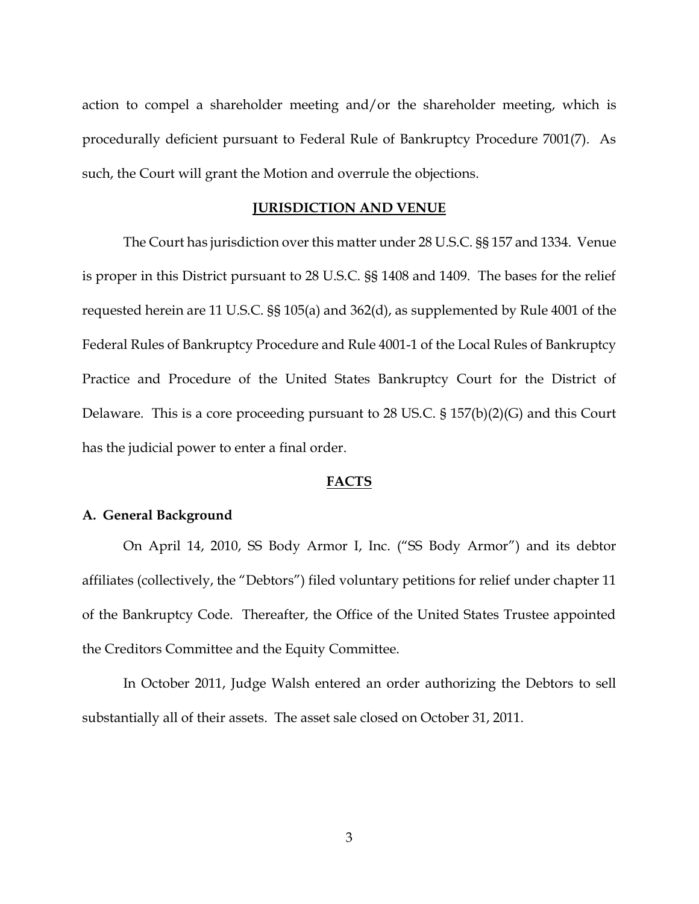action to compel a shareholder meeting and/or the shareholder meeting, which is procedurally deficient pursuant to Federal Rule of Bankruptcy Procedure 7001(7). As such, the Court will grant the Motion and overrule the objections.

### **JURISDICTION AND VENUE**

The Court has jurisdiction over this matter under 28 U.S.C. §§ 157 and 1334. Venue is proper in this District pursuant to 28 U.S.C. §§ 1408 and 1409. The bases for the relief requested herein are 11 U.S.C. §§ 105(a) and 362(d), as supplemented by Rule 4001 of the Federal Rules of Bankruptcy Procedure and Rule 4001-1 of the Local Rules of Bankruptcy Practice and Procedure of the United States Bankruptcy Court for the District of Delaware. This is a core proceeding pursuant to 28 US.C. § 157(b)(2)(G) and this Court has the judicial power to enter a final order.

#### **FACTS**

#### **A. General Background**

On April 14, 2010, SS Body Armor I, Inc. ("SS Body Armor") and its debtor affiliates (collectively, the "Debtors") filed voluntary petitions for relief under chapter 11 of the Bankruptcy Code. Thereafter, the Office of the United States Trustee appointed the Creditors Committee and the Equity Committee.

In October 2011, Judge Walsh entered an order authorizing the Debtors to sell substantially all of their assets. The asset sale closed on October 31, 2011.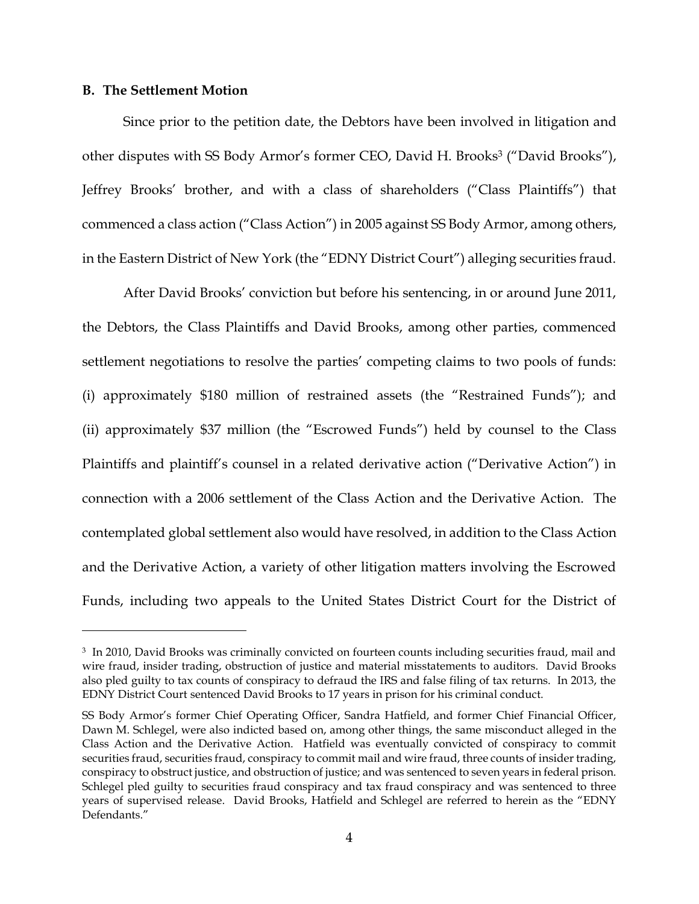#### **B. The Settlement Motion**

 $\overline{a}$ 

Since prior to the petition date, the Debtors have been involved in litigation and other disputes with SS Body Armor's former CEO, David H. Brooks<sup>3</sup> ("David Brooks"), Jeffrey Brooks' brother, and with a class of shareholders ("Class Plaintiffs") that commenced a class action ("Class Action") in 2005 against SS Body Armor, among others, in the Eastern District of New York (the "EDNY District Court") alleging securities fraud.

After David Brooks' conviction but before his sentencing, in or around June 2011, the Debtors, the Class Plaintiffs and David Brooks, among other parties, commenced settlement negotiations to resolve the parties' competing claims to two pools of funds: (i) approximately \$180 million of restrained assets (the "Restrained Funds"); and (ii) approximately \$37 million (the "Escrowed Funds") held by counsel to the Class Plaintiffs and plaintiff's counsel in a related derivative action ("Derivative Action") in connection with a 2006 settlement of the Class Action and the Derivative Action. The contemplated global settlement also would have resolved, in addition to the Class Action and the Derivative Action, a variety of other litigation matters involving the Escrowed Funds, including two appeals to the United States District Court for the District of

<sup>3</sup> In 2010, David Brooks was criminally convicted on fourteen counts including securities fraud, mail and wire fraud, insider trading, obstruction of justice and material misstatements to auditors. David Brooks also pled guilty to tax counts of conspiracy to defraud the IRS and false filing of tax returns. In 2013, the EDNY District Court sentenced David Brooks to 17 years in prison for his criminal conduct.

SS Body Armor's former Chief Operating Officer, Sandra Hatfield, and former Chief Financial Officer, Dawn M. Schlegel, were also indicted based on, among other things, the same misconduct alleged in the Class Action and the Derivative Action. Hatfield was eventually convicted of conspiracy to commit securities fraud, securities fraud, conspiracy to commit mail and wire fraud, three counts of insider trading, conspiracy to obstruct justice, and obstruction of justice; and was sentenced to seven years in federal prison. Schlegel pled guilty to securities fraud conspiracy and tax fraud conspiracy and was sentenced to three years of supervised release. David Brooks, Hatfield and Schlegel are referred to herein as the "EDNY Defendants."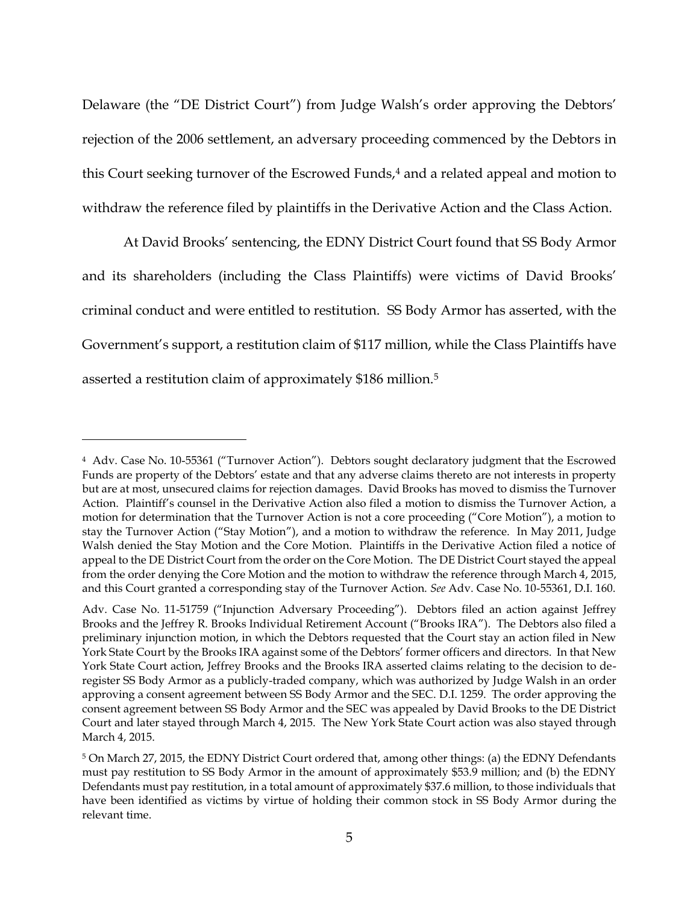Delaware (the "DE District Court") from Judge Walsh's order approving the Debtors' rejection of the 2006 settlement, an adversary proceeding commenced by the Debtors in this Court seeking turnover of the Escrowed Funds,<sup>4</sup> and a related appeal and motion to withdraw the reference filed by plaintiffs in the Derivative Action and the Class Action.

At David Brooks' sentencing, the EDNY District Court found that SS Body Armor and its shareholders (including the Class Plaintiffs) were victims of David Brooks' criminal conduct and were entitled to restitution. SS Body Armor has asserted, with the Government's support, a restitution claim of \$117 million, while the Class Plaintiffs have asserted a restitution claim of approximately \$186 million.<sup>5</sup>

<sup>4</sup> Adv. Case No. 10-55361 ("Turnover Action"). Debtors sought declaratory judgment that the Escrowed Funds are property of the Debtors' estate and that any adverse claims thereto are not interests in property but are at most, unsecured claims for rejection damages. David Brooks has moved to dismiss the Turnover Action. Plaintiff's counsel in the Derivative Action also filed a motion to dismiss the Turnover Action, a motion for determination that the Turnover Action is not a core proceeding ("Core Motion"), a motion to stay the Turnover Action ("Stay Motion"), and a motion to withdraw the reference. In May 2011, Judge Walsh denied the Stay Motion and the Core Motion. Plaintiffs in the Derivative Action filed a notice of appeal to the DE District Court from the order on the Core Motion. The DE District Court stayed the appeal from the order denying the Core Motion and the motion to withdraw the reference through March 4, 2015, and this Court granted a corresponding stay of the Turnover Action. *See* Adv. Case No. 10-55361, D.I. 160.

Adv. Case No. 11-51759 ("Injunction Adversary Proceeding"). Debtors filed an action against Jeffrey Brooks and the Jeffrey R. Brooks Individual Retirement Account ("Brooks IRA"). The Debtors also filed a preliminary injunction motion, in which the Debtors requested that the Court stay an action filed in New York State Court by the Brooks IRA against some of the Debtors' former officers and directors. In that New York State Court action, Jeffrey Brooks and the Brooks IRA asserted claims relating to the decision to deregister SS Body Armor as a publicly-traded company, which was authorized by Judge Walsh in an order approving a consent agreement between SS Body Armor and the SEC. D.I. 1259. The order approving the consent agreement between SS Body Armor and the SEC was appealed by David Brooks to the DE District Court and later stayed through March 4, 2015. The New York State Court action was also stayed through March 4, 2015.

<sup>5</sup> On March 27, 2015, the EDNY District Court ordered that, among other things: (a) the EDNY Defendants must pay restitution to SS Body Armor in the amount of approximately \$53.9 million; and (b) the EDNY Defendants must pay restitution, in a total amount of approximately \$37.6 million, to those individuals that have been identified as victims by virtue of holding their common stock in SS Body Armor during the relevant time.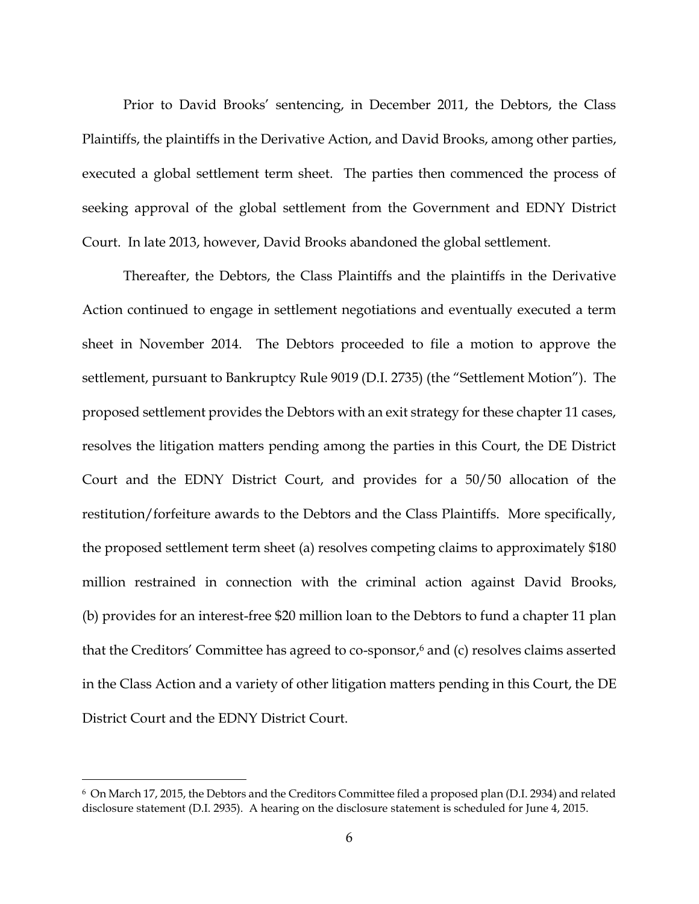Prior to David Brooks' sentencing, in December 2011, the Debtors, the Class Plaintiffs, the plaintiffs in the Derivative Action, and David Brooks, among other parties, executed a global settlement term sheet. The parties then commenced the process of seeking approval of the global settlement from the Government and EDNY District Court. In late 2013, however, David Brooks abandoned the global settlement.

Thereafter, the Debtors, the Class Plaintiffs and the plaintiffs in the Derivative Action continued to engage in settlement negotiations and eventually executed a term sheet in November 2014. The Debtors proceeded to file a motion to approve the settlement, pursuant to Bankruptcy Rule 9019 (D.I. 2735) (the "Settlement Motion"). The proposed settlement provides the Debtors with an exit strategy for these chapter 11 cases, resolves the litigation matters pending among the parties in this Court, the DE District Court and the EDNY District Court, and provides for a 50/50 allocation of the restitution/forfeiture awards to the Debtors and the Class Plaintiffs. More specifically, the proposed settlement term sheet (a) resolves competing claims to approximately \$180 million restrained in connection with the criminal action against David Brooks, (b) provides for an interest-free \$20 million loan to the Debtors to fund a chapter 11 plan that the Creditors' Committee has agreed to co-sponsor,<sup>6</sup> and (c) resolves claims asserted in the Class Action and a variety of other litigation matters pending in this Court, the DE District Court and the EDNY District Court.

<sup>6</sup> On March 17, 2015, the Debtors and the Creditors Committee filed a proposed plan (D.I. 2934) and related disclosure statement (D.I. 2935). A hearing on the disclosure statement is scheduled for June 4, 2015.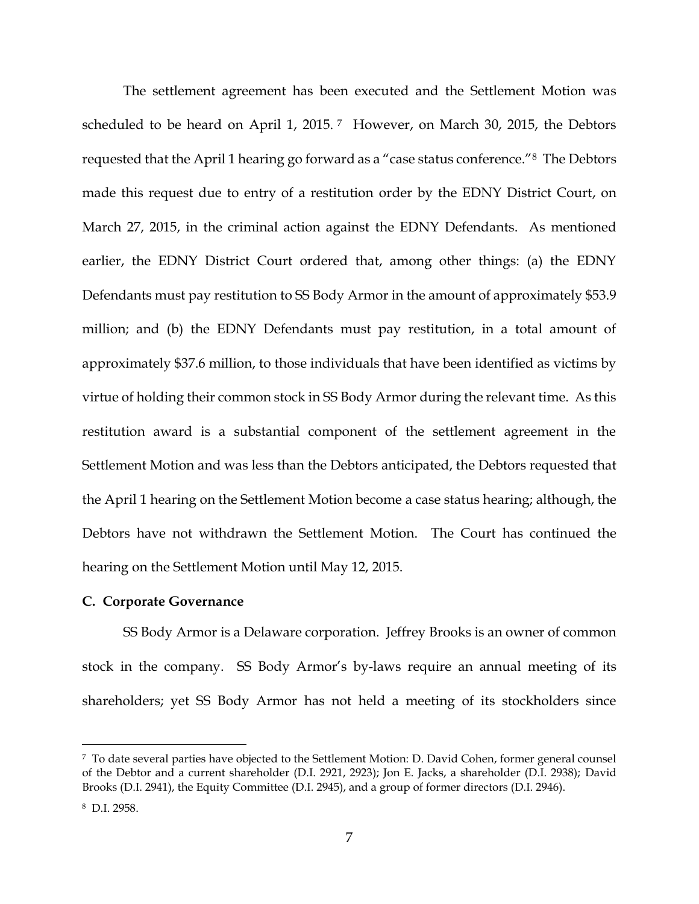The settlement agreement has been executed and the Settlement Motion was scheduled to be heard on April 1, 2015.<sup>7</sup> However, on March 30, 2015, the Debtors requested that the April 1 hearing go forward as a "case status conference."8 The Debtors made this request due to entry of a restitution order by the EDNY District Court, on March 27, 2015, in the criminal action against the EDNY Defendants. As mentioned earlier, the EDNY District Court ordered that, among other things: (a) the EDNY Defendants must pay restitution to SS Body Armor in the amount of approximately \$53.9 million; and (b) the EDNY Defendants must pay restitution, in a total amount of approximately \$37.6 million, to those individuals that have been identified as victims by virtue of holding their common stock in SS Body Armor during the relevant time. As this restitution award is a substantial component of the settlement agreement in the Settlement Motion and was less than the Debtors anticipated, the Debtors requested that the April 1 hearing on the Settlement Motion become a case status hearing; although, the Debtors have not withdrawn the Settlement Motion. The Court has continued the hearing on the Settlement Motion until May 12, 2015.

#### **C. Corporate Governance**

SS Body Armor is a Delaware corporation. Jeffrey Brooks is an owner of common stock in the company. SS Body Armor's by-laws require an annual meeting of its shareholders; yet SS Body Armor has not held a meeting of its stockholders since

<sup>7</sup> To date several parties have objected to the Settlement Motion: D. David Cohen, former general counsel of the Debtor and a current shareholder (D.I. 2921, 2923); Jon E. Jacks, a shareholder (D.I. 2938); David Brooks (D.I. 2941), the Equity Committee (D.I. 2945), and a group of former directors (D.I. 2946).

<sup>8</sup> D.I. 2958.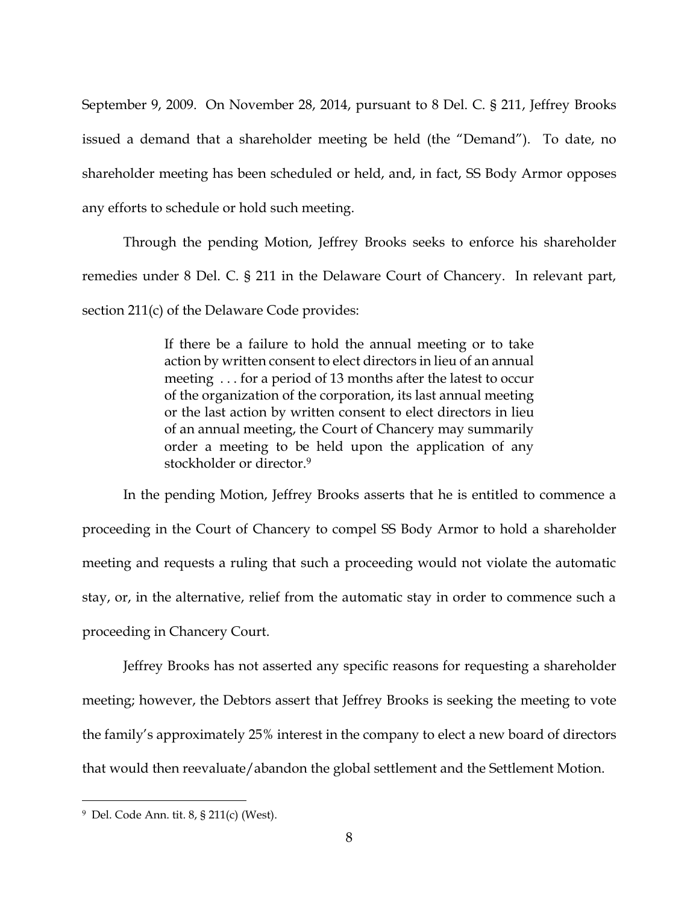September 9, 2009. On November 28, 2014, pursuant to 8 Del. C. § 211, Jeffrey Brooks issued a demand that a shareholder meeting be held (the "Demand"). To date, no shareholder meeting has been scheduled or held, and, in fact, SS Body Armor opposes any efforts to schedule or hold such meeting.

Through the pending Motion, Jeffrey Brooks seeks to enforce his shareholder remedies under 8 Del. C. § 211 in the Delaware Court of Chancery. In relevant part, section 211(c) of the Delaware Code provides:

> If there be a failure to hold the annual meeting or to take action by written consent to elect directors in lieu of an annual meeting . . . for a period of 13 months after the latest to occur of the organization of the corporation, its last annual meeting or the last action by written consent to elect directors in lieu of an annual meeting, the Court of Chancery may summarily order a meeting to be held upon the application of any stockholder or director.<sup>9</sup>

In the pending Motion, Jeffrey Brooks asserts that he is entitled to commence a proceeding in the Court of Chancery to compel SS Body Armor to hold a shareholder meeting and requests a ruling that such a proceeding would not violate the automatic stay, or, in the alternative, relief from the automatic stay in order to commence such a proceeding in Chancery Court.

Jeffrey Brooks has not asserted any specific reasons for requesting a shareholder meeting; however, the Debtors assert that Jeffrey Brooks is seeking the meeting to vote the family's approximately 25% interest in the company to elect a new board of directors that would then reevaluate/abandon the global settlement and the Settlement Motion.

<sup>9</sup> Del. Code Ann. tit. 8, § 211(c) (West).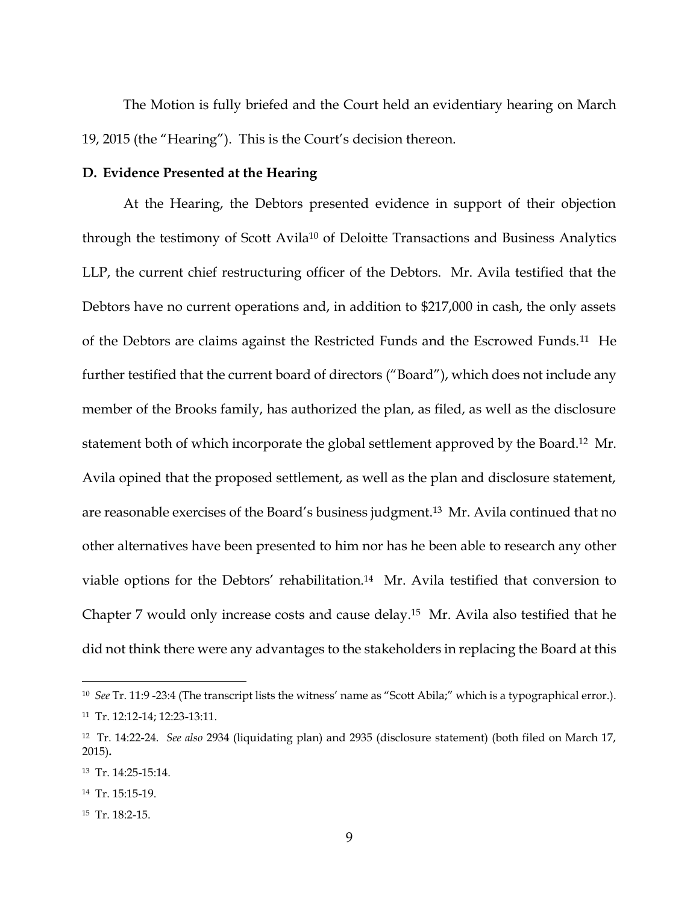The Motion is fully briefed and the Court held an evidentiary hearing on March 19, 2015 (the "Hearing"). This is the Court's decision thereon.

### **D. Evidence Presented at the Hearing**

At the Hearing, the Debtors presented evidence in support of their objection through the testimony of Scott Avila<sup>10</sup> of Deloitte Transactions and Business Analytics LLP, the current chief restructuring officer of the Debtors. Mr. Avila testified that the Debtors have no current operations and, in addition to \$217,000 in cash, the only assets of the Debtors are claims against the Restricted Funds and the Escrowed Funds.11 He further testified that the current board of directors ("Board"), which does not include any member of the Brooks family, has authorized the plan, as filed, as well as the disclosure statement both of which incorporate the global settlement approved by the Board. <sup>12</sup> Mr. Avila opined that the proposed settlement, as well as the plan and disclosure statement, are reasonable exercises of the Board's business judgment.13 Mr. Avila continued that no other alternatives have been presented to him nor has he been able to research any other viable options for the Debtors' rehabilitation.14 Mr. Avila testified that conversion to Chapter 7 would only increase costs and cause delay.15 Mr. Avila also testified that he did not think there were any advantages to the stakeholders in replacing the Board at this

<sup>10</sup> *See* Tr. 11:9 -23:4 (The transcript lists the witness' name as "Scott Abila;" which is a typographical error.). 11 Tr. 12:12-14; 12:23-13:11.

<sup>12</sup> Tr. 14:22-24. *See also* 2934 (liquidating plan) and 2935 (disclosure statement) (both filed on March 17, 2015)**.**

<sup>13</sup> Tr. 14:25-15:14.

<sup>14</sup> Tr. 15:15-19.

<sup>15</sup> Tr. 18:2-15.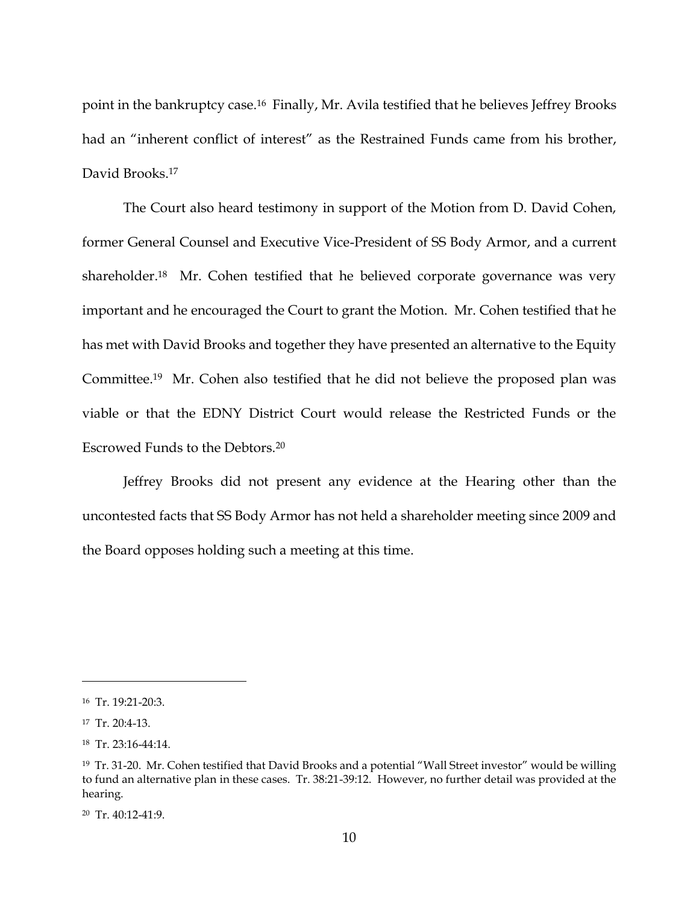point in the bankruptcy case. <sup>16</sup> Finally, Mr. Avila testified that he believes Jeffrey Brooks had an "inherent conflict of interest" as the Restrained Funds came from his brother, David Brooks. 17

The Court also heard testimony in support of the Motion from D. David Cohen, former General Counsel and Executive Vice-President of SS Body Armor, and a current shareholder.<sup>18</sup> Mr. Cohen testified that he believed corporate governance was very important and he encouraged the Court to grant the Motion. Mr. Cohen testified that he has met with David Brooks and together they have presented an alternative to the Equity Committee.19 Mr. Cohen also testified that he did not believe the proposed plan was viable or that the EDNY District Court would release the Restricted Funds or the Escrowed Funds to the Debtors.<sup>20</sup>

Jeffrey Brooks did not present any evidence at the Hearing other than the uncontested facts that SS Body Armor has not held a shareholder meeting since 2009 and the Board opposes holding such a meeting at this time.

<sup>16</sup> Tr. 19:21-20:3.

<sup>17</sup> Tr. 20:4-13.

<sup>18</sup> Tr. 23:16-44:14.

<sup>19</sup> Tr. 31-20. Mr. Cohen testified that David Brooks and a potential "Wall Street investor" would be willing to fund an alternative plan in these cases. Tr. 38:21-39:12. However, no further detail was provided at the hearing.

<sup>20</sup> Tr. 40:12-41:9.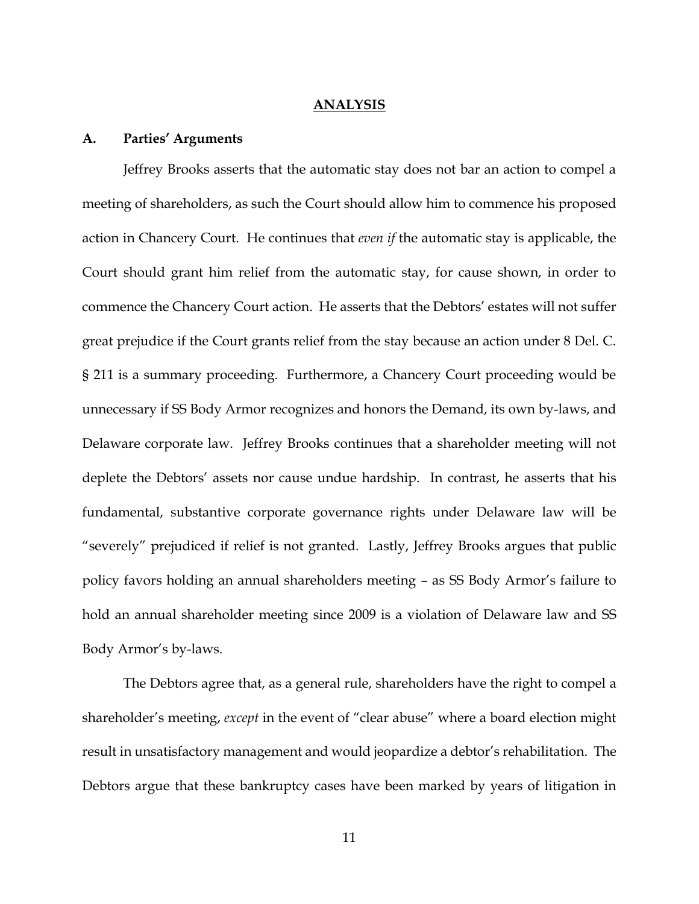#### **ANALYSIS**

#### **A. Parties' Arguments**

Jeffrey Brooks asserts that the automatic stay does not bar an action to compel a meeting of shareholders, as such the Court should allow him to commence his proposed action in Chancery Court. He continues that *even if* the automatic stay is applicable, the Court should grant him relief from the automatic stay, for cause shown, in order to commence the Chancery Court action. He asserts that the Debtors' estates will not suffer great prejudice if the Court grants relief from the stay because an action under 8 Del. C. § 211 is a summary proceeding. Furthermore, a Chancery Court proceeding would be unnecessary if SS Body Armor recognizes and honors the Demand, its own by-laws, and Delaware corporate law. Jeffrey Brooks continues that a shareholder meeting will not deplete the Debtors' assets nor cause undue hardship. In contrast, he asserts that his fundamental, substantive corporate governance rights under Delaware law will be "severely" prejudiced if relief is not granted. Lastly, Jeffrey Brooks argues that public policy favors holding an annual shareholders meeting – as SS Body Armor's failure to hold an annual shareholder meeting since 2009 is a violation of Delaware law and SS Body Armor's by-laws.

The Debtors agree that, as a general rule, shareholders have the right to compel a shareholder's meeting, *except* in the event of "clear abuse" where a board election might result in unsatisfactory management and would jeopardize a debtor's rehabilitation. The Debtors argue that these bankruptcy cases have been marked by years of litigation in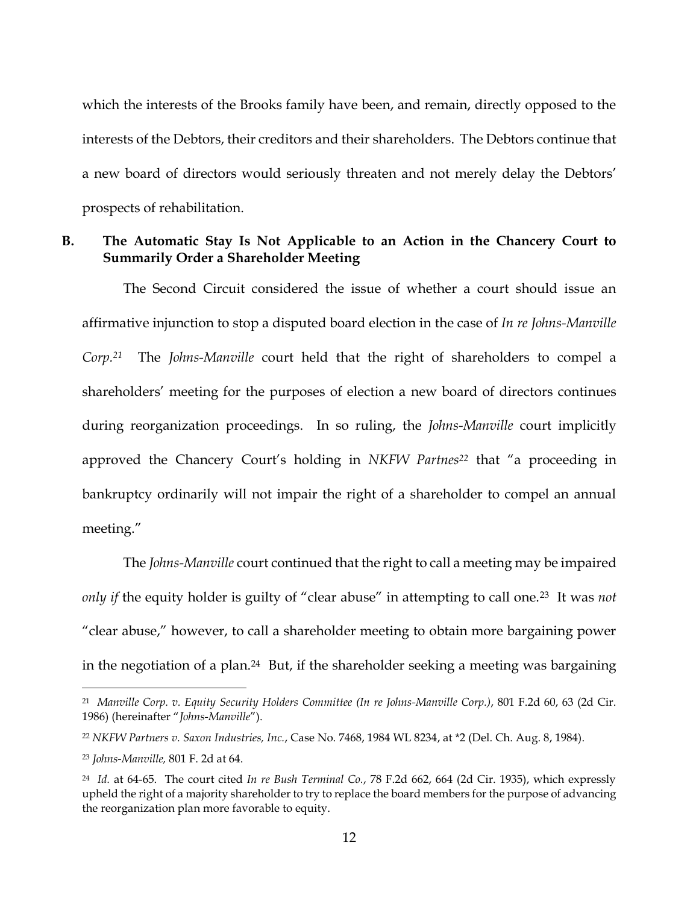which the interests of the Brooks family have been, and remain, directly opposed to the interests of the Debtors, their creditors and their shareholders. The Debtors continue that a new board of directors would seriously threaten and not merely delay the Debtors' prospects of rehabilitation.

## **B. The Automatic Stay Is Not Applicable to an Action in the Chancery Court to Summarily Order a Shareholder Meeting**

The Second Circuit considered the issue of whether a court should issue an affirmative injunction to stop a disputed board election in the case of *In re Johns-Manville Corp.21* The *Johns-Manville* court held that the right of shareholders to compel a shareholders' meeting for the purposes of election a new board of directors continues during reorganization proceedings. In so ruling, the *Johns-Manville* court implicitly approved the Chancery Court's holding in *NKFW Partnes<sup>22</sup>* that "a proceeding in bankruptcy ordinarily will not impair the right of a shareholder to compel an annual meeting."

The *Johns-Manville* court continued that the right to call a meeting may be impaired *only if* the equity holder is guilty of "clear abuse" in attempting to call one.23 It was *not* "clear abuse," however, to call a shareholder meeting to obtain more bargaining power in the negotiation of a plan.<sup>24</sup> But, if the shareholder seeking a meeting was bargaining

<sup>21</sup> *Manville Corp. v. Equity Security Holders Committee (In re Johns-Manville Corp.)*, 801 F.2d 60, 63 (2d Cir. 1986) (hereinafter "*Johns-Manville*").

<sup>22</sup> *NKFW Partners v. Saxon Industries, Inc.*, Case No. 7468, 1984 WL 8234, at \*2 (Del. Ch. Aug. 8, 1984).

<sup>23</sup> *Johns-Manville,* 801 F. 2d at 64.

<sup>24</sup> *Id.* at 64-65. The court cited *In re Bush Terminal Co.*, 78 F.2d 662, 664 (2d Cir. 1935), which expressly upheld the right of a majority shareholder to try to replace the board members for the purpose of advancing the reorganization plan more favorable to equity.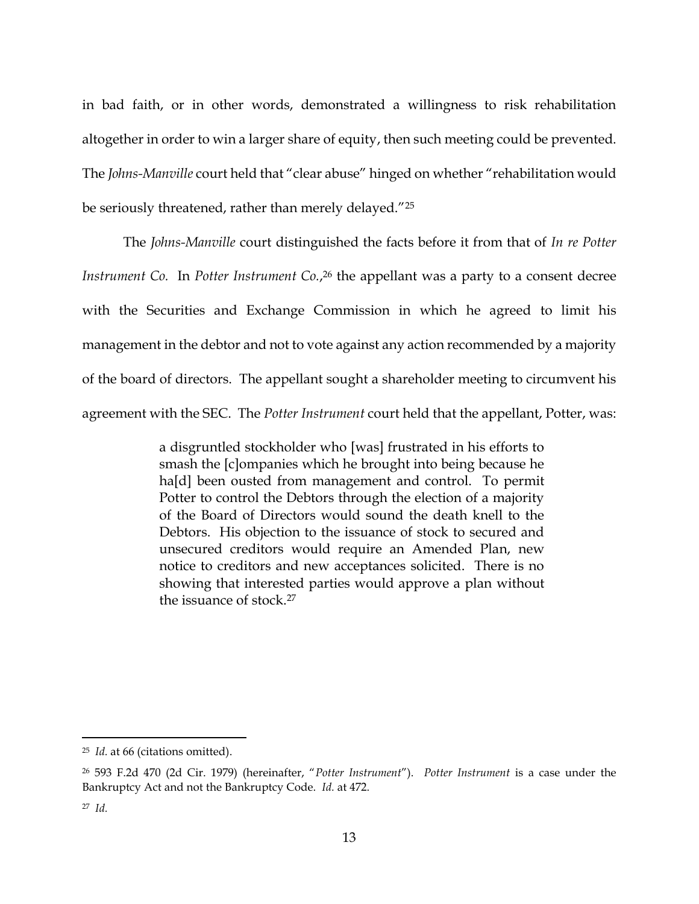in bad faith, or in other words, demonstrated a willingness to risk rehabilitation altogether in order to win a larger share of equity, then such meeting could be prevented. The *Johns-Manville* court held that "clear abuse" hinged on whether "rehabilitation would be seriously threatened, rather than merely delayed."<sup>25</sup>

The *Johns-Manville* court distinguished the facts before it from that of *In re Potter Instrument Co.* In *Potter Instrument Co.*, <sup>26</sup> the appellant was a party to a consent decree with the Securities and Exchange Commission in which he agreed to limit his management in the debtor and not to vote against any action recommended by a majority of the board of directors. The appellant sought a shareholder meeting to circumvent his agreement with the SEC. The *Potter Instrument* court held that the appellant, Potter, was:

> a disgruntled stockholder who [was] frustrated in his efforts to smash the [c]ompanies which he brought into being because he ha<sup>[d]</sup> been ousted from management and control. To permit Potter to control the Debtors through the election of a majority of the Board of Directors would sound the death knell to the Debtors. His objection to the issuance of stock to secured and unsecured creditors would require an Amended Plan, new notice to creditors and new acceptances solicited. There is no showing that interested parties would approve a plan without the issuance of stock.<sup>27</sup>

<sup>25</sup> *Id.* at 66 (citations omitted).

<sup>26</sup> 593 F.2d 470 (2d Cir. 1979) (hereinafter, "*Potter Instrument*"). *Potter Instrument* is a case under the Bankruptcy Act and not the Bankruptcy Code. *Id.* at 472.

<sup>27</sup> *Id.*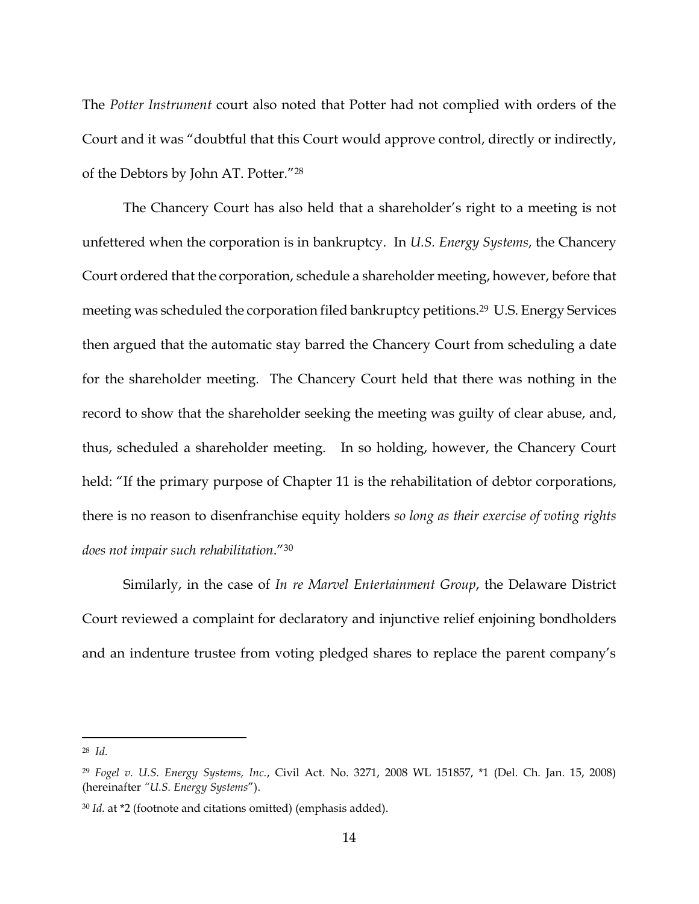The *Potter Instrument* court also noted that Potter had not complied with orders of the Court and it was "doubtful that this Court would approve control, directly or indirectly, of the Debtors by John AT. Potter."<sup>28</sup>

The Chancery Court has also held that a shareholder's right to a meeting is not unfettered when the corporation is in bankruptcy. In *U.S. Energy Systems*, the Chancery Court ordered that the corporation, schedule a shareholder meeting, however, before that meeting was scheduled the corporation filed bankruptcy petitions.<sup>29</sup> U.S. Energy Services then argued that the automatic stay barred the Chancery Court from scheduling a date for the shareholder meeting. The Chancery Court held that there was nothing in the record to show that the shareholder seeking the meeting was guilty of clear abuse, and, thus, scheduled a shareholder meeting. In so holding, however, the Chancery Court held: "If the primary purpose of Chapter 11 is the rehabilitation of debtor corporations, there is no reason to disenfranchise equity holders *so long as their exercise of voting rights does not impair such rehabilitation*."<sup>30</sup>

Similarly, in the case of *In re Marvel Entertainment Group*, the Delaware District Court reviewed a complaint for declaratory and injunctive relief enjoining bondholders and an indenture trustee from voting pledged shares to replace the parent company's

<sup>28</sup> *Id.*

<sup>29</sup> *Fogel v. U.S. Energy Systems, Inc.*, Civil Act. No. 3271, 2008 WL 151857, \*1 (Del. Ch. Jan. 15, 2008) (hereinafter *"U.S. Energy Systems*").

<sup>30</sup> *Id.* at \*2 (footnote and citations omitted) (emphasis added).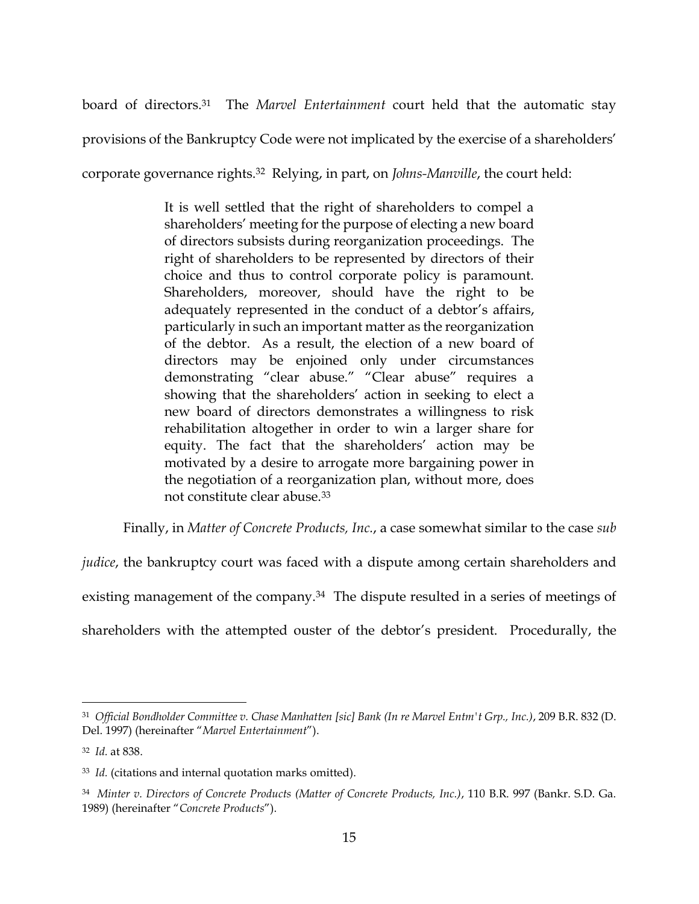board of directors.31 The *Marvel Entertainment* court held that the automatic stay

provisions of the Bankruptcy Code were not implicated by the exercise of a shareholders'

corporate governance rights.32 Relying, in part, on *Johns-Manville*, the court held:

It is well settled that the right of shareholders to compel a shareholders' meeting for the purpose of electing a new board of directors subsists during reorganization proceedings. The right of shareholders to be represented by directors of their choice and thus to control corporate policy is paramount. Shareholders, moreover, should have the right to be adequately represented in the conduct of a debtor's affairs, particularly in such an important matter as the reorganization of the debtor. As a result, the election of a new board of directors may be enjoined only under circumstances demonstrating "clear abuse." "Clear abuse" requires a showing that the shareholders' action in seeking to elect a new board of directors demonstrates a willingness to risk rehabilitation altogether in order to win a larger share for equity. The fact that the shareholders' action may be motivated by a desire to arrogate more bargaining power in the negotiation of a reorganization plan, without more, does not constitute clear abuse.<sup>33</sup>

Finally, in *Matter of Concrete Products, Inc.*, a case somewhat similar to the case *sub* 

*judice*, the bankruptcy court was faced with a dispute among certain shareholders and

existing management of the company.<sup>34</sup> The dispute resulted in a series of meetings of

shareholders with the attempted ouster of the debtor's president. Procedurally, the

<sup>31</sup> *Official Bondholder Committee v. Chase Manhatten [sic] Bank (In re Marvel Entm't Grp., Inc.)*, 209 B.R. 832 (D. Del. 1997) (hereinafter "*Marvel Entertainment*").

<sup>32</sup> *Id.* at 838.

<sup>33</sup> *Id.* (citations and internal quotation marks omitted).

<sup>34</sup> *Minter v. Directors of Concrete Products (Matter of Concrete Products, Inc.)*, 110 B.R. 997 (Bankr. S.D. Ga. 1989) (hereinafter "*Concrete Products*").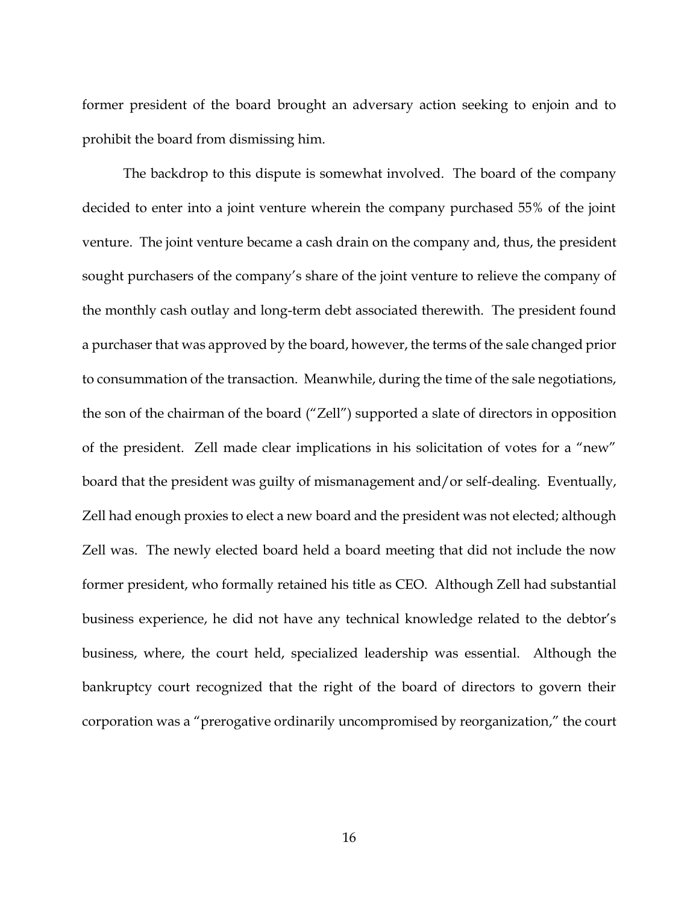former president of the board brought an adversary action seeking to enjoin and to prohibit the board from dismissing him.

The backdrop to this dispute is somewhat involved. The board of the company decided to enter into a joint venture wherein the company purchased 55% of the joint venture. The joint venture became a cash drain on the company and, thus, the president sought purchasers of the company's share of the joint venture to relieve the company of the monthly cash outlay and long-term debt associated therewith. The president found a purchaser that was approved by the board, however, the terms of the sale changed prior to consummation of the transaction. Meanwhile, during the time of the sale negotiations, the son of the chairman of the board ("Zell") supported a slate of directors in opposition of the president. Zell made clear implications in his solicitation of votes for a "new" board that the president was guilty of mismanagement and/or self-dealing. Eventually, Zell had enough proxies to elect a new board and the president was not elected; although Zell was. The newly elected board held a board meeting that did not include the now former president, who formally retained his title as CEO. Although Zell had substantial business experience, he did not have any technical knowledge related to the debtor's business, where, the court held, specialized leadership was essential. Although the bankruptcy court recognized that the right of the board of directors to govern their corporation was a "prerogative ordinarily uncompromised by reorganization," the court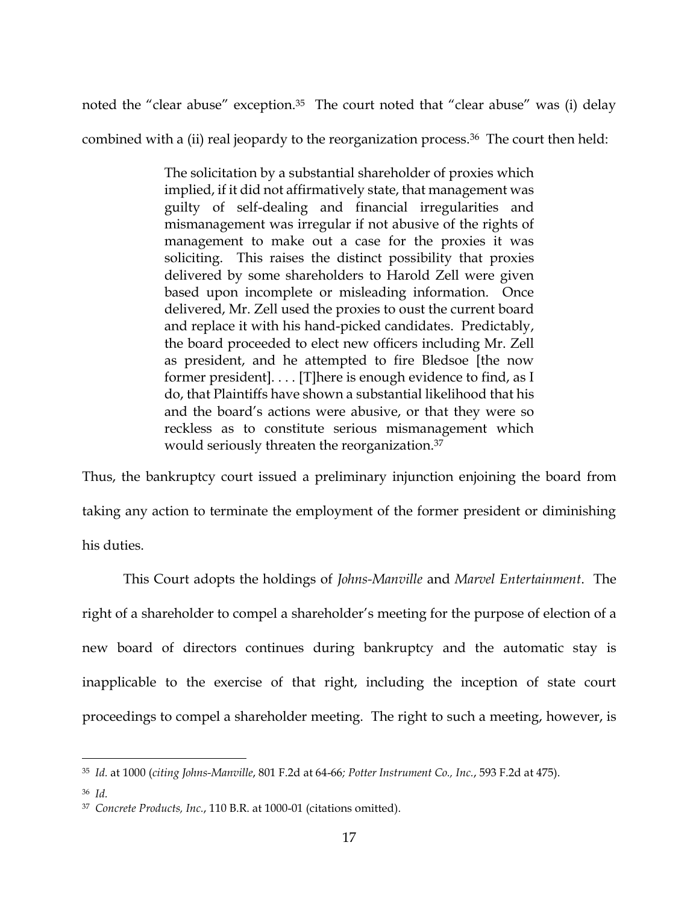noted the "clear abuse" exception.<sup>35</sup> The court noted that "clear abuse" was (i) delay

combined with a (ii) real jeopardy to the reorganization process.<sup>36</sup> The court then held:

The solicitation by a substantial shareholder of proxies which implied, if it did not affirmatively state, that management was guilty of self-dealing and financial irregularities and mismanagement was irregular if not abusive of the rights of management to make out a case for the proxies it was soliciting. This raises the distinct possibility that proxies delivered by some shareholders to Harold Zell were given based upon incomplete or misleading information. Once delivered, Mr. Zell used the proxies to oust the current board and replace it with his hand-picked candidates. Predictably, the board proceeded to elect new officers including Mr. Zell as president, and he attempted to fire Bledsoe [the now former president]. . . . [T]here is enough evidence to find, as I do, that Plaintiffs have shown a substantial likelihood that his and the board's actions were abusive, or that they were so reckless as to constitute serious mismanagement which would seriously threaten the reorganization.<sup>37</sup>

Thus, the bankruptcy court issued a preliminary injunction enjoining the board from taking any action to terminate the employment of the former president or diminishing his duties.

This Court adopts the holdings of *Johns-Manville* and *Marvel Entertainment*. The right of a shareholder to compel a shareholder's meeting for the purpose of election of a new board of directors continues during bankruptcy and the automatic stay is inapplicable to the exercise of that right, including the inception of state court proceedings to compel a shareholder meeting. The right to such a meeting, however, is

<sup>35</sup> *Id.* at 1000 (*citing Johns-Manville*, 801 F.2d at 64-66*; Potter Instrument Co., Inc.*, 593 F.2d at 475).

<sup>36</sup> *Id.*

<sup>37</sup> *Concrete Products, Inc.*, 110 B.R. at 1000-01 (citations omitted).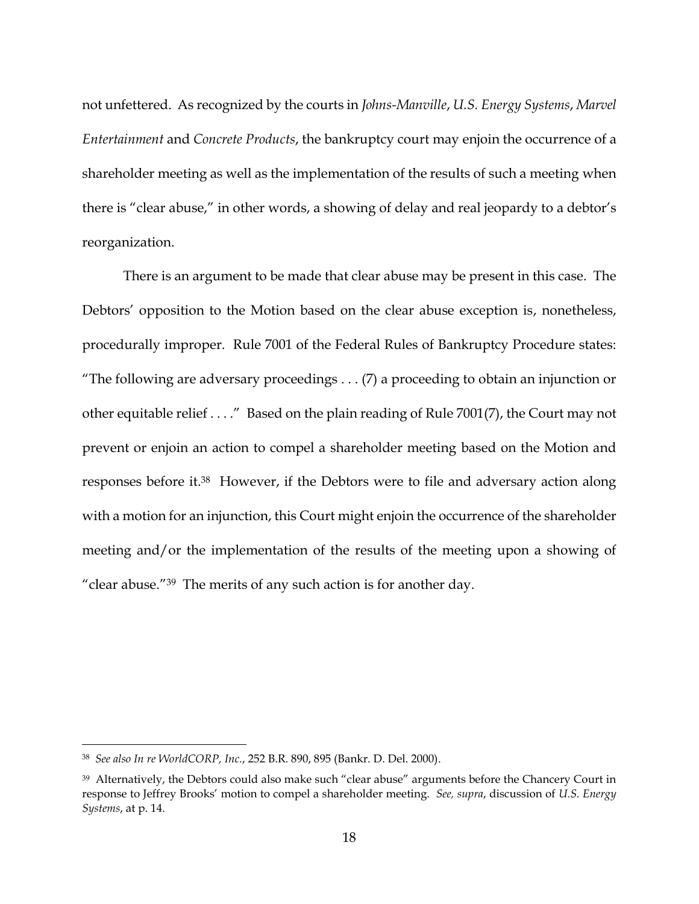not unfettered. As recognized by the courts in *Johns-Manville*, *U.S. Energy Systems*, *Marvel Entertainment* and *Concrete Products*, the bankruptcy court may enjoin the occurrence of a shareholder meeting as well as the implementation of the results of such a meeting when there is "clear abuse," in other words, a showing of delay and real jeopardy to a debtor's reorganization.

There is an argument to be made that clear abuse may be present in this case. The Debtors' opposition to the Motion based on the clear abuse exception is, nonetheless, procedurally improper. Rule 7001 of the Federal Rules of Bankruptcy Procedure states: "The following are adversary proceedings  $\dots$  (7) a proceeding to obtain an injunction or other equitable relief . . . ." Based on the plain reading of Rule 7001(7), the Court may not prevent or enjoin an action to compel a shareholder meeting based on the Motion and responses before it.38 However, if the Debtors were to file and adversary action along with a motion for an injunction, this Court might enjoin the occurrence of the shareholder meeting and/or the implementation of the results of the meeting upon a showing of "clear abuse."39 The merits of any such action is for another day.

<sup>38</sup> *See also In re WorldCORP, Inc.*, 252 B.R. 890, 895 (Bankr. D. Del. 2000).

<sup>39</sup> Alternatively, the Debtors could also make such "clear abuse" arguments before the Chancery Court in response to Jeffrey Brooks' motion to compel a shareholder meeting. *See, supra*, discussion of *U.S. Energy Systems*, at p. 14.